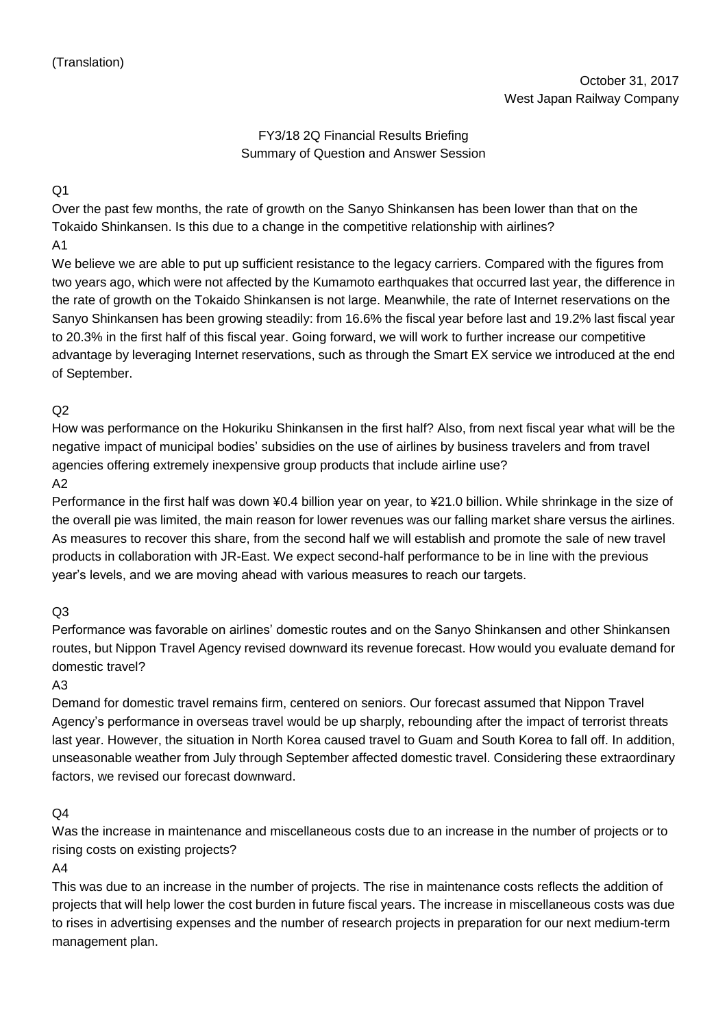# FY3/18 2Q Financial Results Briefing Summary of Question and Answer Session

# $O<sub>1</sub>$

Over the past few months, the rate of growth on the Sanyo Shinkansen has been lower than that on the Tokaido Shinkansen. Is this due to a change in the competitive relationship with airlines?

### A1

We believe we are able to put up sufficient resistance to the legacy carriers. Compared with the figures from two years ago, which were not affected by the Kumamoto earthquakes that occurred last year, the difference in the rate of growth on the Tokaido Shinkansen is not large. Meanwhile, the rate of Internet reservations on the Sanyo Shinkansen has been growing steadily: from 16.6% the fiscal year before last and 19.2% last fiscal year to 20.3% in the first half of this fiscal year. Going forward, we will work to further increase our competitive advantage by leveraging Internet reservations, such as through the Smart EX service we introduced at the end of September.

# $O<sub>2</sub>$

How was performance on the Hokuriku Shinkansen in the first half? Also, from next fiscal year what will be the negative impact of municipal bodies' subsidies on the use of airlines by business travelers and from travel agencies offering extremely inexpensive group products that include airline use?

# A2

Performance in the first half was down ¥0.4 billion year on year, to ¥21.0 billion. While shrinkage in the size of the overall pie was limited, the main reason for lower revenues was our falling market share versus the airlines. As measures to recover this share, from the second half we will establish and promote the sale of new travel products in collaboration with JR-East. We expect second-half performance to be in line with the previous year's levels, and we are moving ahead with various measures to reach our targets.

# $O<sub>3</sub>$

Performance was favorable on airlines' domestic routes and on the Sanyo Shinkansen and other Shinkansen routes, but Nippon Travel Agency revised downward its revenue forecast. How would you evaluate demand for domestic travel?

# A3

Demand for domestic travel remains firm, centered on seniors. Our forecast assumed that Nippon Travel Agency's performance in overseas travel would be up sharply, rebounding after the impact of terrorist threats last year. However, the situation in North Korea caused travel to Guam and South Korea to fall off. In addition, unseasonable weather from July through September affected domestic travel. Considering these extraordinary factors, we revised our forecast downward.

# $\Omega$ 4

Was the increase in maintenance and miscellaneous costs due to an increase in the number of projects or to rising costs on existing projects?

#### $AA$

This was due to an increase in the number of projects. The rise in maintenance costs reflects the addition of projects that will help lower the cost burden in future fiscal years. The increase in miscellaneous costs was due to rises in advertising expenses and the number of research projects in preparation for our next medium-term management plan.